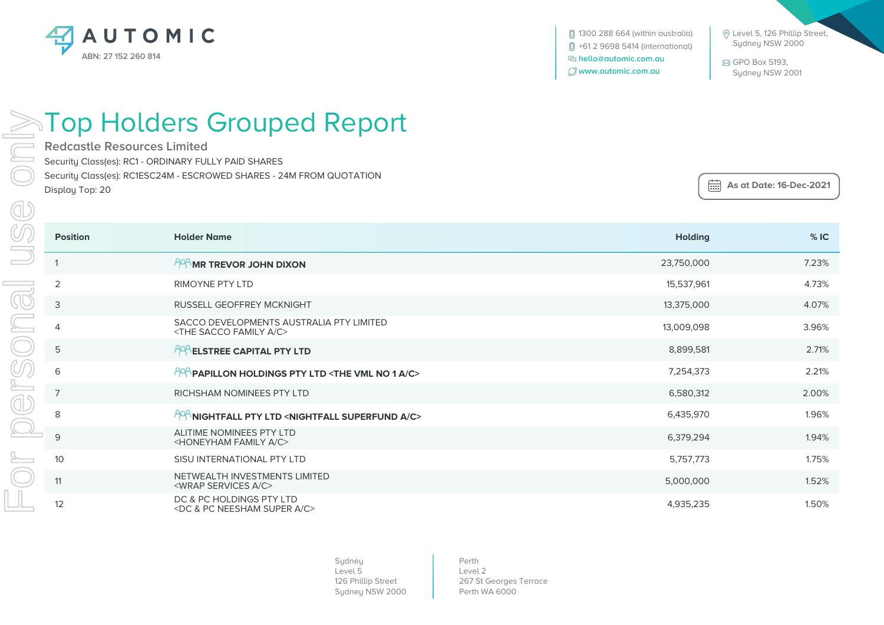

 Level 5, 126 Phillip Street, Sydney NSW 2000

 GPO Box 5193, Sydney NSW 2001

## **ENTOP Holders Grouped Report**

**Redcastle Resources Limited**

Security Class(es): RC1 - ORDINARY FULLY PAID SHARES

Security Class(es): RC1ESC24M - ESCROWED SHARES - 24M FROM QUOTATION

Display Top: 20

 **As at Date: 16-Dec-2021**

|                          | <b>Position</b> | <b>Holder Name</b>                                                                   | <b>Holding</b> | %IC   |
|--------------------------|-----------------|--------------------------------------------------------------------------------------|----------------|-------|
|                          |                 | <b>PPP MR TREVOR JOHN DIXON</b>                                                      | 23,750,000     | 7.23% |
|                          | 2               | RIMOYNE PTY LTD                                                                      | 15,537,961     | 4.73% |
|                          | 3               | <b>RUSSELL GEOFFREY MCKNIGHT</b>                                                     | 13,375,000     | 4.07% |
| $\overline{\phantom{0}}$ | $\overline{4}$  | SACCO DEVELOPMENTS AUSTRALIA PTY LIMITED<br><the a="" c="" family="" sacco=""></the> | 13,009,098     | 3.96% |
|                          | 5               | <b>PRA ELSTREE CAPITAL PTY LTD</b>                                                   | 8,899,581      | 2.71% |
|                          | 6               | $^{199}$ PAPILLON HOLDINGS PTY LTD <the 1="" a="" c="" no="" vml=""></the>           | 7,254,373      | 2.21% |
|                          | $\overline{7}$  | RICHSHAM NOMINEES PTY LTD                                                            | 6,580,312      | 2.00% |
|                          | 8               | <b>PPP NIGHTFALL PTY LTD <nightfall a="" c="" superfund=""></nightfall></b>          | 6,435,970      | 1.96% |
|                          | 9               | ALITIME NOMINEES PTY LTD<br><honeyham a="" c="" family=""></honeyham>                | 6,379,294      | 1.94% |
|                          | 10              | SISU INTERNATIONAL PTY LTD                                                           | 5,757,773      | 1.75% |
|                          | 11              | NETWEALTH INVESTMENTS LIMITED<br><wrap a="" c="" services=""></wrap>                 | 5,000,000      | 1.52% |
|                          | 12              | DC & PC HOLDINGS PTY LTD<br><dc &="" a="" c="" neesham="" pc="" super=""></dc>       | 4,935,235      | 1.50% |

Sydney Level 5 126 Phillip Street Sydney NSW 2000

Perth Level 2 267 St Georges Terrace Perth WA 6000